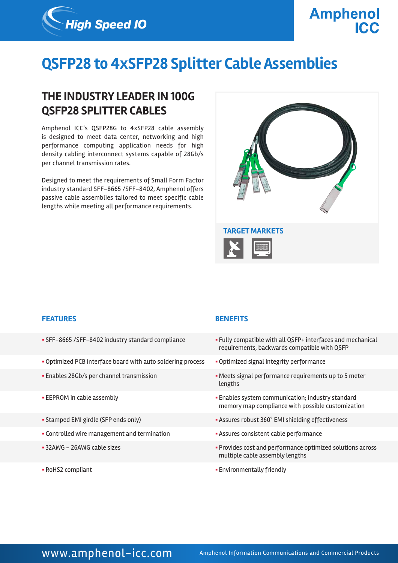

# **QSFP28 to 4xSFP28 Splitter Cable Assemblies**

## **THE INDUSTRY LEADER IN 100G QSFP28 SPLITTER CABLES**

Amphenol ICC's QSFP28G to 4xSFP28 cable assembly is designed to meet data center, networking and high performance computing application needs for high density cabling interconnect systems capable of 28Gb/s per channel transmission rates.

Designed to meet the requirements of Small Form Factor industry standard SFF-8665 /SFF-8402, Amphenol offers passive cable assemblies tailored to meet specific cable lengths while meeting all performance requirements.



### **FEATURES BENEFITS**

- 
- Optimized PCB interface board with auto soldering process Optimized signal integrity performance
- 
- 
- 
- Controlled wire management and termination  **Assures consistent cable performance**
- 
- 

- § SFF-8665 /SFF-8402 industry standard compliance § Fully compatible with all QSFP+ interfaces and mechanical requirements, backwards compatible with QSFP
	-
- Enables 28Gb/s per channel transmission  **Meets signal performance requirements up to 5 meter** lengths
- EEPROM in cable assembly **Enables system communication**; industry standard memory map compliance with possible customization
- Stamped EMI girdle (SFP ends only)  **Stamped EMI girdle (SFP ends only) Assures robust 360° EMI shielding effectiveness** 
	-
- § 32AWG 26AWG cable sizes § Provides cost and performance optimized solutions across multiple cable assembly lengths
- RoHS2 compliant  **Environmentally friendly**

### WWW.amphenol-icc.com Amphenol Information Communications and Commercial Products